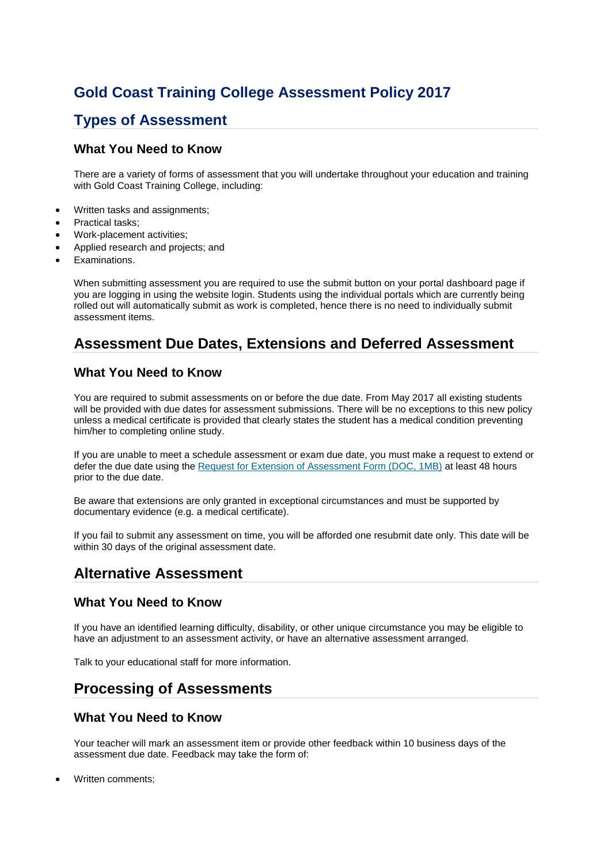# **Gold Coast Training College Assessment Policy 2017**

## **Types of Assessment**

### **What You Need to Know**

There are a variety of forms of assessment that you will undertake throughout your education and training with Gold Coast Training College, including:

- Written tasks and assignments;
- Practical tasks:
- Work-placement activities;
- Applied research and projects; and
- Examinations.

When submitting assessment you are required to use the submit button on your portal dashboard page if you are logging in using the website login. Students using the individual portals which are currently being rolled out will automatically submit as work is completed, hence there is no need to individually submit assessment items.

# **Assessment Due Dates, Extensions and Deferred Assessment**

### **What You Need to Know**

You are required to submit assessments on or before the due date. From May 2017 all existing students will be provided with due dates for assessment submissions. There will be no exceptions to this new policy unless a medical certificate is provided that clearly states the student has a medical condition preventing him/her to completing online study.

If you are unable to meet a schedule assessment or exam due date, you must make a request to extend or defer the due date using the Request for Extension of Assessment Form (DOC, 1MB) at least 48 hours prior to the due date.

Be aware that extensions are only granted in exceptional circumstances and must be supported by documentary evidence (e.g. a medical certificate).

If you fail to submit any assessment on time, you will be afforded one resubmit date only. This date will be within 30 days of the original assessment date.

### **Alternative Assessment**

### **What You Need to Know**

If you have an identified learning difficulty, disability, or other unique circumstance you may be eligible to have an adjustment to an assessment activity, or have an alternative assessment arranged.

Talk to your educational staff for more information.

### **Processing of Assessments**

### **What You Need to Know**

Your teacher will mark an assessment item or provide other feedback within 10 business days of the assessment due date. Feedback may take the form of:

• Written comments;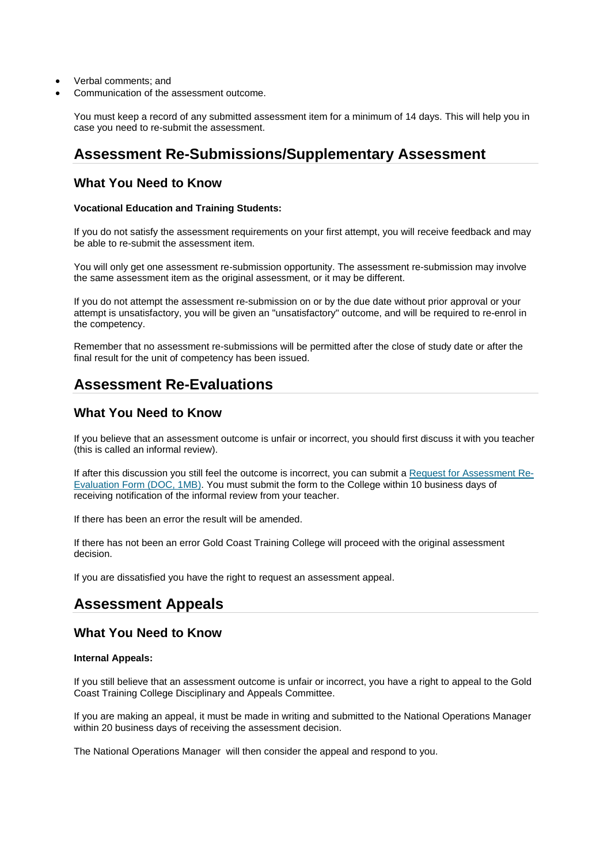- Verbal comments; and
- Communication of the assessment outcome.

You must keep a record of any submitted assessment item for a minimum of 14 days. This will help you in case you need to re-submit the assessment.

## **Assessment Re-Submissions/Supplementary Assessment**

#### **What You Need to Know**

#### **Vocational Education and Training Students:**

If you do not satisfy the assessment requirements on your first attempt, you will receive feedback and may be able to re-submit the assessment item.

You will only get one assessment re-submission opportunity. The assessment re-submission may involve the same assessment item as the original assessment, or it may be different.

If you do not attempt the assessment re-submission on or by the due date without prior approval or your attempt is unsatisfactory, you will be given an "unsatisfactory" outcome, and will be required to re-enrol in the competency.

Remember that no assessment re-submissions will be permitted after the close of study date or after the final result for the unit of competency has been issued.

### **Assessment Re-Evaluations**

### **What You Need to Know**

If you believe that an assessment outcome is unfair or incorrect, you should first discuss it with you teacher (this is called an informal review).

If after this discussion you still feel the outcome is incorrect, you can submit a Request for Assessment Re-Evaluation Form (DOC, 1MB). You must submit the form to the College within 10 business days of receiving notification of the informal review from your teacher.

If there has been an error the result will be amended.

If there has not been an error Gold Coast Training College will proceed with the original assessment decision.

If you are dissatisfied you have the right to request an assessment appeal.

# **Assessment Appeals**

### **What You Need to Know**

#### **Internal Appeals:**

If you still believe that an assessment outcome is unfair or incorrect, you have a right to appeal to the Gold Coast Training College Disciplinary and Appeals Committee.

If you are making an appeal, it must be made in writing and submitted to the National Operations Manager within 20 business days of receiving the assessment decision.

The National Operations Manager will then consider the appeal and respond to you.